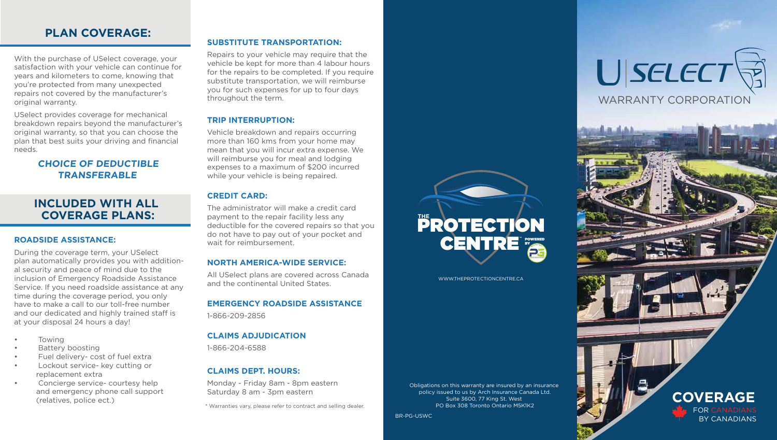BR-PG-USWC

# **PLAN COVERAGE:**

### **CHOICE OF DEDUCTIBLE TRANSFERABLE**

With the purchase of USelect coverage, your satisfaction with your vehicle can continue for years and kilometers to come, knowing that you're protected from many unexpected repairs not covered by the manufacturer's original warranty.

USelect provides coverage for mechanical breakdown repairs beyond the manufacturer's original warranty, so that you can choose the plan that best suits your driving and financial needs.

#### **ROADSIDE ASSISTANCE:**

During the coverage term, your USelect plan automatically provides you with additional security and peace of mind due to the inclusion of Emergency Roadside Assistance Service. If you need roadside assistance at any time during the coverage period, you only have to make a call to our toll-free number and our dedicated and highly trained staff is at your disposal 24 hours a day!

- Towing
- Battery boosting
- Fuel delivery- cost of fuel extra
- Lockout service- key cutting or replacement extra
- Concierge service- courtesy help and emergency phone call support (relatives, police ect.)

#### **SUBSTITUTE TRANSPORTATION:**

Obligations on this warranty are insured by an insurance policy issued to us by Arch Insurance Canada Ltd. Suite 3600, 77 King St. West PO Box 308 Toronto Ontario M5K1K2

Repairs to your vehicle may require that the vehicle be kept for more than 4 labour hours for the repairs to be completed. If you require substitute transportation, we will reimburse you for such expenses for up to four days throughout the term.

#### **TRIP INTERRUPTION:**

Vehicle breakdown and repairs occurring more than 160 kms from your home may mean that you will incur extra expense. We will reimburse you for meal and lodging expenses to a maximum of \$200 incurred while your vehicle is being repaired.

#### **CREDIT CARD:**

The administrator will make a credit card payment to the repair facility less any deductible for the covered repairs so that you do not have to pay out of your pocket and wait for reimbursement.

### **NORTH AMERICA-WIDE SERVICE:**

All USelect plans are covered across Canada and the continental United States.

#### **EMERGENCY ROADSIDE ASSISTANCE**

1-866-209-2856

### **CLAIMS ADJUDICATION**

1-866-204-6588

#### **CLAIMS DEPT. HOURS:**

Monday - Friday 8am - 8pm eastern Saturday 8 am - 3pm eastern





## **INCLUDED WITH ALL COVERAGE PLANS:**

\* Warranties vary, please refer to contract and selling dealer.

WWW.THEPROTECTIONCENTRE.CA